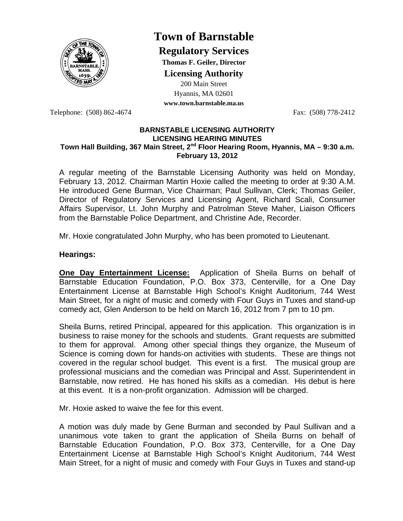

# **Town of Barnstable**

**Regulatory Services**

**Thomas F. Geiler, Director** 

**Licensing Authority**

200 Main Street Hyannis, MA 02601 **www.town.barnstable.ma.us**

Telephone: (508) 862-4674 Fax: (508) 778-2412

#### **BARNSTABLE LICENSING AUTHORITY LICENSING HEARING MINUTES**  Town Hall Building, 367 Main Street, 2<sup>nd</sup> Floor Hearing Room, Hyannis, MA – 9:30 a.m. **February 13, 2012**

A regular meeting of the Barnstable Licensing Authority was held on Monday, February 13, 2012. Chairman Martin Hoxie called the meeting to order at 9:30 A.M. He introduced Gene Burman, Vice Chairman; Paul Sullivan, Clerk; Thomas Geiler, Director of Regulatory Services and Licensing Agent, Richard Scali, Consumer Affairs Supervisor, Lt. John Murphy and Patrolman Steve Maher, Liaison Officers from the Barnstable Police Department, and Christine Ade, Recorder.

Mr. Hoxie congratulated John Murphy, who has been promoted to Lieutenant.

# **Hearings:**

**One Day Entertainment License:** Application of Sheila Burns on behalf of Barnstable Education Foundation, P.O. Box 373, Centerville, for a One Day Entertainment License at Barnstable High School's Knight Auditorium, 744 West Main Street, for a night of music and comedy with Four Guys in Tuxes and stand-up comedy act, Glen Anderson to be held on March 16, 2012 from 7 pm to 10 pm.

Sheila Burns, retired Principal, appeared for this application. This organization is in business to raise money for the schools and students. Grant requests are submitted to them for approval. Among other special things they organize, the Museum of Science is coming down for hands-on activities with students. These are things not covered in the regular school budget. This event is a first. The musical group are professional musicians and the comedian was Principal and Asst. Superintendent in Barnstable, now retired. He has honed his skills as a comedian. His debut is here at this event. It is a non-profit organization. Admission will be charged.

Mr. Hoxie asked to waive the fee for this event.

A motion was duly made by Gene Burman and seconded by Paul Sullivan and a unanimous vote taken to grant the application of Sheila Burns on behalf of Barnstable Education Foundation, P.O. Box 373, Centerville, for a One Day Entertainment License at Barnstable High School's Knight Auditorium, 744 West Main Street, for a night of music and comedy with Four Guys in Tuxes and stand-up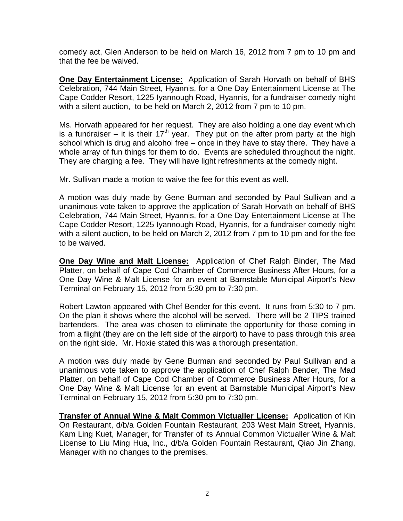comedy act, Glen Anderson to be held on March 16, 2012 from 7 pm to 10 pm and that the fee be waived.

**One Day Entertainment License:** Application of Sarah Horvath on behalf of BHS Celebration, 744 Main Street, Hyannis, for a One Day Entertainment License at The Cape Codder Resort, 1225 Iyannough Road, Hyannis, for a fundraiser comedy night with a silent auction, to be held on March 2, 2012 from 7 pm to 10 pm.

Ms. Horvath appeared for her request. They are also holding a one day event which is a fundraiser – it is their  $17<sup>th</sup>$  year. They put on the after prom party at the high school which is drug and alcohol free – once in they have to stay there. They have a whole array of fun things for them to do. Events are scheduled throughout the night. They are charging a fee. They will have light refreshments at the comedy night.

Mr. Sullivan made a motion to waive the fee for this event as well.

A motion was duly made by Gene Burman and seconded by Paul Sullivan and a unanimous vote taken to approve the application of Sarah Horvath on behalf of BHS Celebration, 744 Main Street, Hyannis, for a One Day Entertainment License at The Cape Codder Resort, 1225 Iyannough Road, Hyannis, for a fundraiser comedy night with a silent auction, to be held on March 2, 2012 from 7 pm to 10 pm and for the fee to be waived.

**One Day Wine and Malt License:** Application of Chef Ralph Binder, The Mad Platter, on behalf of Cape Cod Chamber of Commerce Business After Hours, for a One Day Wine & Malt License for an event at Barnstable Municipal Airport's New Terminal on February 15, 2012 from 5:30 pm to 7:30 pm.

Robert Lawton appeared with Chef Bender for this event. It runs from 5:30 to 7 pm. On the plan it shows where the alcohol will be served. There will be 2 TIPS trained bartenders. The area was chosen to eliminate the opportunity for those coming in from a flight (they are on the left side of the airport) to have to pass through this area on the right side. Mr. Hoxie stated this was a thorough presentation.

A motion was duly made by Gene Burman and seconded by Paul Sullivan and a unanimous vote taken to approve the application of Chef Ralph Bender, The Mad Platter, on behalf of Cape Cod Chamber of Commerce Business After Hours, for a One Day Wine & Malt License for an event at Barnstable Municipal Airport's New Terminal on February 15, 2012 from 5:30 pm to 7:30 pm.

**Transfer of Annual Wine & Malt Common Victualler License:** Application of Kin On Restaurant, d/b/a Golden Fountain Restaurant, 203 West Main Street, Hyannis, Kam Ling Kuet, Manager, for Transfer of its Annual Common Victualler Wine & Malt License to Liu Ming Hua, Inc., d/b/a Golden Fountain Restaurant, Qiao Jin Zhang, Manager with no changes to the premises.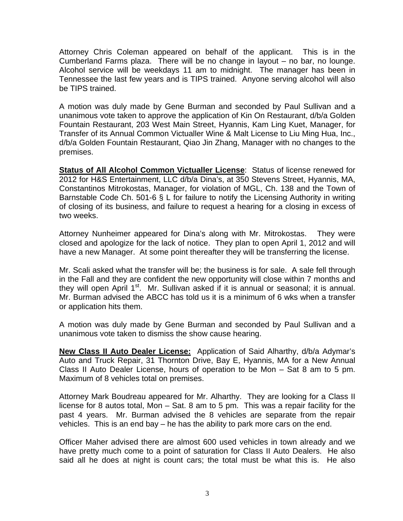Attorney Chris Coleman appeared on behalf of the applicant. This is in the Cumberland Farms plaza. There will be no change in layout – no bar, no lounge. Alcohol service will be weekdays 11 am to midnight. The manager has been in Tennessee the last few years and is TIPS trained. Anyone serving alcohol will also be TIPS trained.

A motion was duly made by Gene Burman and seconded by Paul Sullivan and a unanimous vote taken to approve the application of Kin On Restaurant, d/b/a Golden Fountain Restaurant, 203 West Main Street, Hyannis, Kam Ling Kuet, Manager, for Transfer of its Annual Common Victualler Wine & Malt License to Liu Ming Hua, Inc., d/b/a Golden Fountain Restaurant, Qiao Jin Zhang, Manager with no changes to the premises.

**Status of All Alcohol Common Victualler License**: Status of license renewed for 2012 for H&S Entertainment, LLC d/b/a Dina's, at 350 Stevens Street, Hyannis, MA, Constantinos Mitrokostas, Manager, for violation of MGL, Ch. 138 and the Town of Barnstable Code Ch. 501-6 § L for failure to notify the Licensing Authority in writing of closing of its business, and failure to request a hearing for a closing in excess of two weeks.

Attorney Nunheimer appeared for Dina's along with Mr. Mitrokostas. They were closed and apologize for the lack of notice. They plan to open April 1, 2012 and will have a new Manager. At some point thereafter they will be transferring the license.

Mr. Scali asked what the transfer will be; the business is for sale. A sale fell through in the Fall and they are confident the new opportunity will close within 7 months and they will open April  $1<sup>st</sup>$ . Mr. Sullivan asked if it is annual or seasonal; it is annual. Mr. Burman advised the ABCC has told us it is a minimum of 6 wks when a transfer or application hits them.

A motion was duly made by Gene Burman and seconded by Paul Sullivan and a unanimous vote taken to dismiss the show cause hearing.

**New Class II Auto Dealer License:** Application of Said Alharthy, d/b/a Adymar's Auto and Truck Repair, 31 Thornton Drive, Bay E, Hyannis, MA for a New Annual Class II Auto Dealer License, hours of operation to be Mon – Sat 8 am to 5 pm. Maximum of 8 vehicles total on premises.

Attorney Mark Boudreau appeared for Mr. Alharthy. They are looking for a Class II license for 8 autos total, Mon – Sat. 8 am to 5 pm. This was a repair facility for the past 4 years. Mr. Burman advised the 8 vehicles are separate from the repair vehicles. This is an end bay – he has the ability to park more cars on the end.

Officer Maher advised there are almost 600 used vehicles in town already and we have pretty much come to a point of saturation for Class II Auto Dealers. He also said all he does at night is count cars; the total must be what this is. He also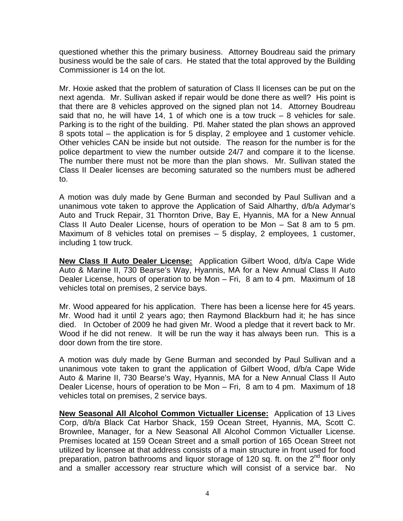questioned whether this the primary business. Attorney Boudreau said the primary business would be the sale of cars. He stated that the total approved by the Building Commissioner is 14 on the lot.

Mr. Hoxie asked that the problem of saturation of Class II licenses can be put on the next agenda. Mr. Sullivan asked if repair would be done there as well? His point is that there are 8 vehicles approved on the signed plan not 14. Attorney Boudreau said that no, he will have 14, 1 of which one is a tow truck – 8 vehicles for sale. Parking is to the right of the building. Ptl. Maher stated the plan shows an approved 8 spots total – the application is for 5 display, 2 employee and 1 customer vehicle. Other vehicles CAN be inside but not outside. The reason for the number is for the police department to view the number outside 24/7 and compare it to the license. The number there must not be more than the plan shows. Mr. Sullivan stated the Class II Dealer licenses are becoming saturated so the numbers must be adhered to.

A motion was duly made by Gene Burman and seconded by Paul Sullivan and a unanimous vote taken to approve the Application of Said Alharthy, d/b/a Adymar's Auto and Truck Repair, 31 Thornton Drive, Bay E, Hyannis, MA for a New Annual Class II Auto Dealer License, hours of operation to be Mon – Sat 8 am to 5 pm. Maximum of 8 vehicles total on premises – 5 display, 2 employees, 1 customer, including 1 tow truck.

**New Class II Auto Dealer License:** Application Gilbert Wood, d/b/a Cape Wide Auto & Marine II, 730 Bearse's Way, Hyannis, MA for a New Annual Class II Auto Dealer License, hours of operation to be Mon – Fri, 8 am to 4 pm. Maximum of 18 vehicles total on premises, 2 service bays.

Mr. Wood appeared for his application. There has been a license here for 45 years. Mr. Wood had it until 2 years ago; then Raymond Blackburn had it; he has since died. In October of 2009 he had given Mr. Wood a pledge that it revert back to Mr. Wood if he did not renew. It will be run the way it has always been run. This is a door down from the tire store.

A motion was duly made by Gene Burman and seconded by Paul Sullivan and a unanimous vote taken to grant the application of Gilbert Wood, d/b/a Cape Wide Auto & Marine II, 730 Bearse's Way, Hyannis, MA for a New Annual Class II Auto Dealer License, hours of operation to be Mon – Fri, 8 am to 4 pm. Maximum of 18 vehicles total on premises, 2 service bays.

**New Seasonal All Alcohol Common Victualler License:** Application of 13 Lives Corp, d/b/a Black Cat Harbor Shack, 159 Ocean Street, Hyannis, MA, Scott C. Brownlee, Manager, for a New Seasonal All Alcohol Common Victualler License. Premises located at 159 Ocean Street and a small portion of 165 Ocean Street not utilized by licensee at that address consists of a main structure in front used for food preparation, patron bathrooms and liquor storage of 120 sq. ft. on the  $2<sup>nd</sup>$  floor only and a smaller accessory rear structure which will consist of a service bar. No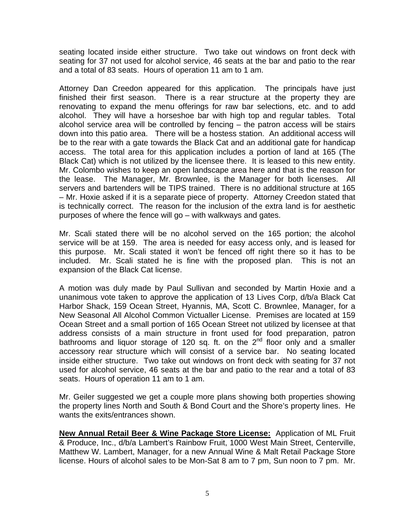seating located inside either structure. Two take out windows on front deck with seating for 37 not used for alcohol service, 46 seats at the bar and patio to the rear and a total of 83 seats. Hours of operation 11 am to 1 am.

Attorney Dan Creedon appeared for this application. The principals have just finished their first season. There is a rear structure at the property they are renovating to expand the menu offerings for raw bar selections, etc. and to add alcohol. They will have a horseshoe bar with high top and regular tables. Total alcohol service area will be controlled by fencing – the patron access will be stairs down into this patio area. There will be a hostess station. An additional access will be to the rear with a gate towards the Black Cat and an additional gate for handicap access. The total area for this application includes a portion of land at 165 (The Black Cat) which is not utilized by the licensee there. It is leased to this new entity. Mr. Colombo wishes to keep an open landscape area here and that is the reason for the lease. The Manager, Mr. Brownlee, is the Manager for both licenses. All servers and bartenders will be TIPS trained. There is no additional structure at 165 – Mr. Hoxie asked if it is a separate piece of property. Attorney Creedon stated that is technically correct. The reason for the inclusion of the extra land is for aesthetic purposes of where the fence will go – with walkways and gates.

Mr. Scali stated there will be no alcohol served on the 165 portion; the alcohol service will be at 159. The area is needed for easy access only, and is leased for this purpose. Mr. Scali stated it won't be fenced off right there so it has to be included. Mr. Scali stated he is fine with the proposed plan. This is not an expansion of the Black Cat license.

A motion was duly made by Paul Sullivan and seconded by Martin Hoxie and a unanimous vote taken to approve the application of 13 Lives Corp, d/b/a Black Cat Harbor Shack, 159 Ocean Street, Hyannis, MA, Scott C. Brownlee, Manager, for a New Seasonal All Alcohol Common Victualler License. Premises are located at 159 Ocean Street and a small portion of 165 Ocean Street not utilized by licensee at that address consists of a main structure in front used for food preparation, patron bathrooms and liquor storage of 120 sq. ft. on the  $2<sup>nd</sup>$  floor only and a smaller accessory rear structure which will consist of a service bar. No seating located inside either structure. Two take out windows on front deck with seating for 37 not used for alcohol service, 46 seats at the bar and patio to the rear and a total of 83 seats. Hours of operation 11 am to 1 am.

Mr. Geiler suggested we get a couple more plans showing both properties showing the property lines North and South & Bond Court and the Shore's property lines. He wants the exits/entrances shown.

**New Annual Retail Beer & Wine Package Store License:** Application of ML Fruit & Produce, Inc., d/b/a Lambert's Rainbow Fruit, 1000 West Main Street, Centerville, Matthew W. Lambert, Manager, for a new Annual Wine & Malt Retail Package Store license. Hours of alcohol sales to be Mon-Sat 8 am to 7 pm, Sun noon to 7 pm. Mr.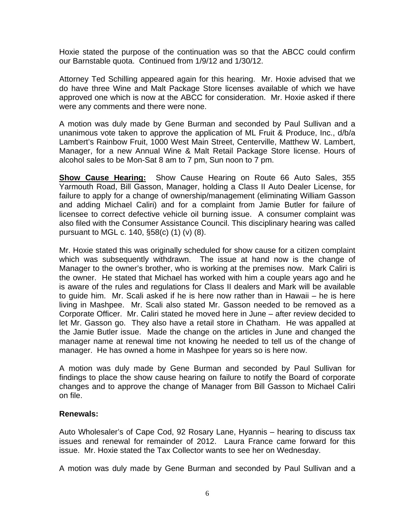Hoxie stated the purpose of the continuation was so that the ABCC could confirm our Barnstable quota. Continued from 1/9/12 and 1/30/12.

Attorney Ted Schilling appeared again for this hearing. Mr. Hoxie advised that we do have three Wine and Malt Package Store licenses available of which we have approved one which is now at the ABCC for consideration. Mr. Hoxie asked if there were any comments and there were none.

A motion was duly made by Gene Burman and seconded by Paul Sullivan and a unanimous vote taken to approve the application of ML Fruit & Produce, Inc., d/b/a Lambert's Rainbow Fruit, 1000 West Main Street, Centerville, Matthew W. Lambert, Manager, for a new Annual Wine & Malt Retail Package Store license. Hours of alcohol sales to be Mon-Sat 8 am to 7 pm, Sun noon to 7 pm.

**Show Cause Hearing:** Show Cause Hearing on Route 66 Auto Sales, 355 Yarmouth Road, Bill Gasson, Manager, holding a Class II Auto Dealer License, for failure to apply for a change of ownership/management (eliminating William Gasson and adding Michael Caliri) and for a complaint from Jamie Butler for failure of licensee to correct defective vehicle oil burning issue. A consumer complaint was also filed with the Consumer Assistance Council. This disciplinary hearing was called pursuant to MGL c. 140, §58(c) (1) (v) (8).

Mr. Hoxie stated this was originally scheduled for show cause for a citizen complaint which was subsequently withdrawn. The issue at hand now is the change of Manager to the owner's brother, who is working at the premises now. Mark Caliri is the owner. He stated that Michael has worked with him a couple years ago and he is aware of the rules and regulations for Class II dealers and Mark will be available to guide him. Mr. Scali asked if he is here now rather than in Hawaii – he is here living in Mashpee. Mr. Scali also stated Mr. Gasson needed to be removed as a Corporate Officer. Mr. Caliri stated he moved here in June – after review decided to let Mr. Gasson go. They also have a retail store in Chatham. He was appalled at the Jamie Butler issue. Made the change on the articles in June and changed the manager name at renewal time not knowing he needed to tell us of the change of manager. He has owned a home in Mashpee for years so is here now.

A motion was duly made by Gene Burman and seconded by Paul Sullivan for findings to place the show cause hearing on failure to notify the Board of corporate changes and to approve the change of Manager from Bill Gasson to Michael Caliri on file.

## **Renewals:**

Auto Wholesaler's of Cape Cod, 92 Rosary Lane, Hyannis – hearing to discuss tax issues and renewal for remainder of 2012. Laura France came forward for this issue. Mr. Hoxie stated the Tax Collector wants to see her on Wednesday.

A motion was duly made by Gene Burman and seconded by Paul Sullivan and a